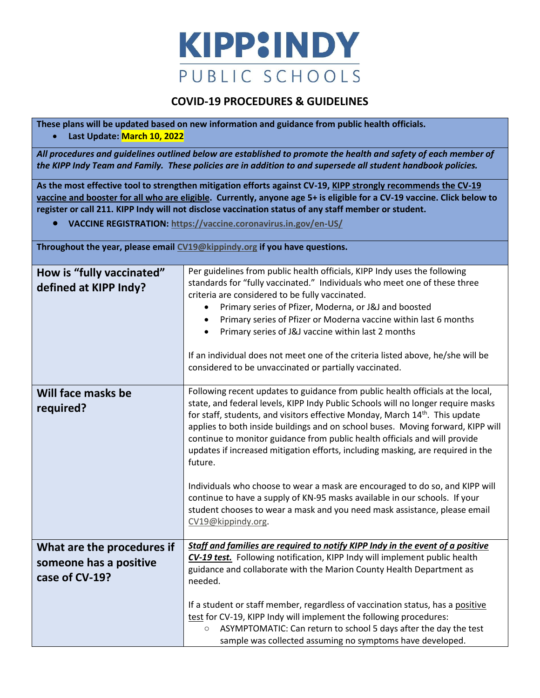

## **COVID-19 PROCEDURES & GUIDELINES**

**These plans will be updated based on new information and guidance from public health officials.**

## • **Last Update: March 10, 2022**

*All procedures and guidelines outlined below are established to promote the health and safety of each member of the KIPP Indy Team and Family. These policies are in addition to and supersede all student handbook policies.*

**As the most effective tool to strengthen mitigation efforts against CV-19, KIPP strongly recommends the CV-19 vaccine and booster for all who are eligible. Currently, anyone age 5+ is eligible for a CV-19 vaccine. Click below to register or call 211. KIPP Indy will not disclose vaccination status of any staff member or student.** 

• **VACCINE REGISTRATION:<https://vaccine.coronavirus.in.gov/en-US/>**

**Throughout the year, please email [CV19@kippindy.org](mailto:CV19@kippindy.org) if you have questions.**

| How is "fully vaccinated"<br>defined at KIPP Indy?                     | Per guidelines from public health officials, KIPP Indy uses the following<br>standards for "fully vaccinated." Individuals who meet one of these three<br>criteria are considered to be fully vaccinated.<br>Primary series of Pfizer, Moderna, or J&J and boosted<br>$\bullet$<br>Primary series of Pfizer or Moderna vaccine within last 6 months<br>$\bullet$<br>Primary series of J&J vaccine within last 2 months<br>$\bullet$<br>If an individual does not meet one of the criteria listed above, he/she will be<br>considered to be unvaccinated or partially vaccinated.                                                                                                                                                                                                                |
|------------------------------------------------------------------------|-------------------------------------------------------------------------------------------------------------------------------------------------------------------------------------------------------------------------------------------------------------------------------------------------------------------------------------------------------------------------------------------------------------------------------------------------------------------------------------------------------------------------------------------------------------------------------------------------------------------------------------------------------------------------------------------------------------------------------------------------------------------------------------------------|
| Will face masks be<br>required?                                        | Following recent updates to guidance from public health officials at the local,<br>state, and federal levels, KIPP Indy Public Schools will no longer require masks<br>for staff, students, and visitors effective Monday, March 14 <sup>th</sup> . This update<br>applies to both inside buildings and on school buses. Moving forward, KIPP will<br>continue to monitor guidance from public health officials and will provide<br>updates if increased mitigation efforts, including masking, are required in the<br>future.<br>Individuals who choose to wear a mask are encouraged to do so, and KIPP will<br>continue to have a supply of KN-95 masks available in our schools. If your<br>student chooses to wear a mask and you need mask assistance, please email<br>CV19@kippindy.org. |
| What are the procedures if<br>someone has a positive<br>case of CV-19? | Staff and families are required to notify KIPP Indy in the event of a positive<br>CV-19 test. Following notification, KIPP Indy will implement public health<br>guidance and collaborate with the Marion County Health Department as<br>needed.<br>If a student or staff member, regardless of vaccination status, has a positive<br>test for CV-19, KIPP Indy will implement the following procedures:<br>ASYMPTOMATIC: Can return to school 5 days after the day the test<br>$\circ$<br>sample was collected assuming no symptoms have developed.                                                                                                                                                                                                                                             |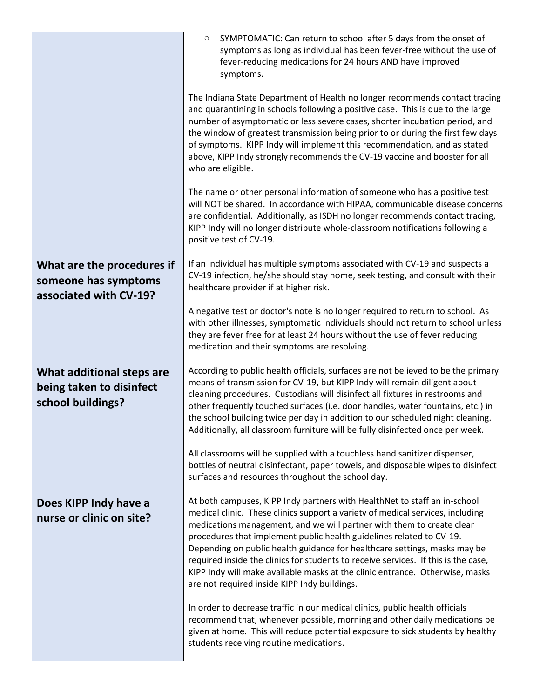|                                                                              | SYMPTOMATIC: Can return to school after 5 days from the onset of<br>$\circ$<br>symptoms as long as individual has been fever-free without the use of<br>fever-reducing medications for 24 hours AND have improved<br>symptoms.                                                                                                                                                                                                                                                                                                                                                                                  |
|------------------------------------------------------------------------------|-----------------------------------------------------------------------------------------------------------------------------------------------------------------------------------------------------------------------------------------------------------------------------------------------------------------------------------------------------------------------------------------------------------------------------------------------------------------------------------------------------------------------------------------------------------------------------------------------------------------|
|                                                                              | The Indiana State Department of Health no longer recommends contact tracing<br>and quarantining in schools following a positive case. This is due to the large<br>number of asymptomatic or less severe cases, shorter incubation period, and<br>the window of greatest transmission being prior to or during the first few days<br>of symptoms. KIPP Indy will implement this recommendation, and as stated<br>above, KIPP Indy strongly recommends the CV-19 vaccine and booster for all<br>who are eligible.                                                                                                 |
|                                                                              | The name or other personal information of someone who has a positive test<br>will NOT be shared. In accordance with HIPAA, communicable disease concerns<br>are confidential. Additionally, as ISDH no longer recommends contact tracing,<br>KIPP Indy will no longer distribute whole-classroom notifications following a<br>positive test of CV-19.                                                                                                                                                                                                                                                           |
| What are the procedures if<br>someone has symptoms<br>associated with CV-19? | If an individual has multiple symptoms associated with CV-19 and suspects a<br>CV-19 infection, he/she should stay home, seek testing, and consult with their<br>healthcare provider if at higher risk.                                                                                                                                                                                                                                                                                                                                                                                                         |
|                                                                              | A negative test or doctor's note is no longer required to return to school. As<br>with other illnesses, symptomatic individuals should not return to school unless<br>they are fever free for at least 24 hours without the use of fever reducing<br>medication and their symptoms are resolving.                                                                                                                                                                                                                                                                                                               |
| What additional steps are<br>being taken to disinfect<br>school buildings?   | According to public health officials, surfaces are not believed to be the primary<br>means of transmission for CV-19, but KIPP Indy will remain diligent about<br>cleaning procedures. Custodians will disinfect all fixtures in restrooms and<br>other frequently touched surfaces (i.e. door handles, water fountains, etc.) in<br>the school building twice per day in addition to our scheduled night cleaning.<br>Additionally, all classroom furniture will be fully disinfected once per week.<br>All classrooms will be supplied with a touchless hand sanitizer dispenser,                             |
|                                                                              | bottles of neutral disinfectant, paper towels, and disposable wipes to disinfect<br>surfaces and resources throughout the school day.                                                                                                                                                                                                                                                                                                                                                                                                                                                                           |
| Does KIPP Indy have a<br>nurse or clinic on site?                            | At both campuses, KIPP Indy partners with HealthNet to staff an in-school<br>medical clinic. These clinics support a variety of medical services, including<br>medications management, and we will partner with them to create clear<br>procedures that implement public health guidelines related to CV-19.<br>Depending on public health guidance for healthcare settings, masks may be<br>required inside the clinics for students to receive services. If this is the case,<br>KIPP Indy will make available masks at the clinic entrance. Otherwise, masks<br>are not required inside KIPP Indy buildings. |
|                                                                              | In order to decrease traffic in our medical clinics, public health officials<br>recommend that, whenever possible, morning and other daily medications be<br>given at home. This will reduce potential exposure to sick students by healthy<br>students receiving routine medications.                                                                                                                                                                                                                                                                                                                          |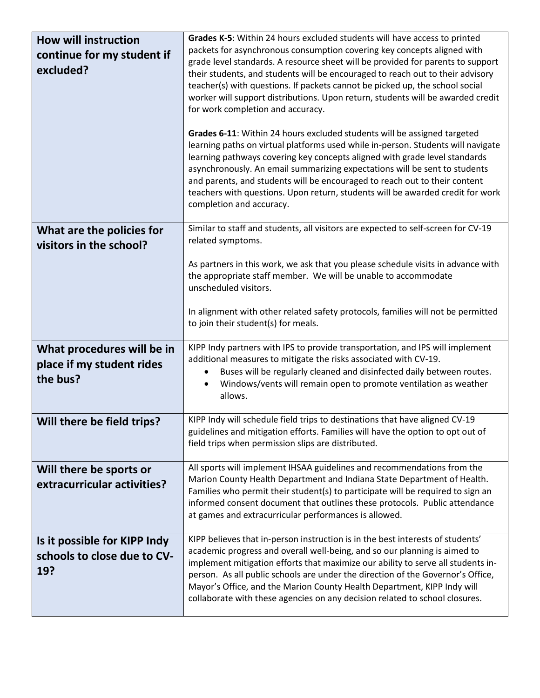| <b>How will instruction</b><br>continue for my student if<br>excluded? | Grades K-5: Within 24 hours excluded students will have access to printed<br>packets for asynchronous consumption covering key concepts aligned with<br>grade level standards. A resource sheet will be provided for parents to support<br>their students, and students will be encouraged to reach out to their advisory<br>teacher(s) with questions. If packets cannot be picked up, the school social<br>worker will support distributions. Upon return, students will be awarded credit<br>for work completion and accuracy.<br>Grades 6-11: Within 24 hours excluded students will be assigned targeted<br>learning paths on virtual platforms used while in-person. Students will navigate<br>learning pathways covering key concepts aligned with grade level standards<br>asynchronously. An email summarizing expectations will be sent to students<br>and parents, and students will be encouraged to reach out to their content<br>teachers with questions. Upon return, students will be awarded credit for work<br>completion and accuracy. |
|------------------------------------------------------------------------|-----------------------------------------------------------------------------------------------------------------------------------------------------------------------------------------------------------------------------------------------------------------------------------------------------------------------------------------------------------------------------------------------------------------------------------------------------------------------------------------------------------------------------------------------------------------------------------------------------------------------------------------------------------------------------------------------------------------------------------------------------------------------------------------------------------------------------------------------------------------------------------------------------------------------------------------------------------------------------------------------------------------------------------------------------------|
| What are the policies for<br>visitors in the school?                   | Similar to staff and students, all visitors are expected to self-screen for CV-19<br>related symptoms.<br>As partners in this work, we ask that you please schedule visits in advance with<br>the appropriate staff member. We will be unable to accommodate<br>unscheduled visitors.                                                                                                                                                                                                                                                                                                                                                                                                                                                                                                                                                                                                                                                                                                                                                                     |
|                                                                        | In alignment with other related safety protocols, families will not be permitted<br>to join their student(s) for meals.                                                                                                                                                                                                                                                                                                                                                                                                                                                                                                                                                                                                                                                                                                                                                                                                                                                                                                                                   |
| What procedures will be in<br>place if my student rides<br>the bus?    | KIPP Indy partners with IPS to provide transportation, and IPS will implement<br>additional measures to mitigate the risks associated with CV-19.<br>Buses will be regularly cleaned and disinfected daily between routes.<br>٠<br>Windows/vents will remain open to promote ventilation as weather<br>$\bullet$<br>allows.                                                                                                                                                                                                                                                                                                                                                                                                                                                                                                                                                                                                                                                                                                                               |
| Will there be field trips?                                             | KIPP Indy will schedule field trips to destinations that have aligned CV-19<br>guidelines and mitigation efforts. Families will have the option to opt out of<br>field trips when permission slips are distributed.                                                                                                                                                                                                                                                                                                                                                                                                                                                                                                                                                                                                                                                                                                                                                                                                                                       |
| Will there be sports or<br>extracurricular activities?                 | All sports will implement IHSAA guidelines and recommendations from the<br>Marion County Health Department and Indiana State Department of Health.<br>Families who permit their student(s) to participate will be required to sign an<br>informed consent document that outlines these protocols. Public attendance<br>at games and extracurricular performances is allowed.                                                                                                                                                                                                                                                                                                                                                                                                                                                                                                                                                                                                                                                                              |
| Is it possible for KIPP Indy<br>schools to close due to CV-<br>19?     | KIPP believes that in-person instruction is in the best interests of students'<br>academic progress and overall well-being, and so our planning is aimed to<br>implement mitigation efforts that maximize our ability to serve all students in-<br>person. As all public schools are under the direction of the Governor's Office,<br>Mayor's Office, and the Marion County Health Department, KIPP Indy will<br>collaborate with these agencies on any decision related to school closures.                                                                                                                                                                                                                                                                                                                                                                                                                                                                                                                                                              |